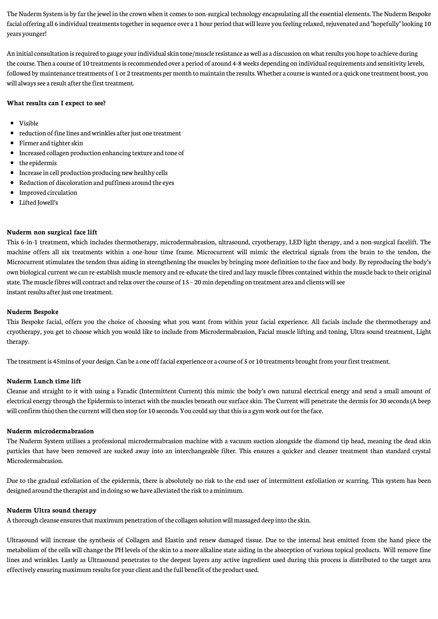The Nuderm System is by far the jewel in the crown when it comes to non-surgical technology encapsulating all the essential elements. The Nuderm Bespoke facial offering all 6 individual treatments together in sequence over a 1 hour period that will leave you feeling relaxed, rejuvenated and "hopefully" looking 10 years younger!

An initial consultation is required to gauge your individual skin tone/muscle resistance as well as a discussion on what results you hope to achieve during the course. Then a course of 10 treatments is recommended over a period of around 4-8 weeks depending on individual requirements and sensitivity levels, followed by maintenance treatments of 1 or 2 treatments per month to maintain the results. Whether a course is wanted or a quick one treatment boost, you will always see a result after the first treatment.

#### **What results can I expect to see?**

- Visible
- reduction of fine lines and wrinkles after just one treatment
- Firmer and tighter skin
- $\bullet$ Increased collagen production enhancing texture and tone of
- the epidermis
- Increase in cell production producing new healthy cells
- Reduction of discoloration and puffiness around the eyes  $\bullet$
- Improved circulation  $\bullet$
- $\bullet$ Lifted Jowell's

#### **Nuderm non surgical face lift**

This 6-in-1 treatment, which includes thermotherapy, microdermabrasion, ultrasound, cryotherapy, LED light therapy, and a non-surgical facelift. The machine offers all six treatments within a one-hour time frame. Microcurrent will mimic the electrical signals from the brain to the tendon, the Microcurrent stimulates the tendon thus aiding in strengthening the muscles by bringing more definition to the face and body. By reproducing the body's own biological current we can re-establish muscle memory and re-educate the tired and lazy muscle fibres contained within the muscle back to their original state. The muscle fibres will contract and relax over the course of 15 - 20 min depending on treatment area and clients will see instant results after just one treatment.

#### **Nuderm Bespoke**

This Bespoke facial, offers you the choice of choosing what you want from within your facial experience. All facials include the thermotherapy and cryotherapy, you get to choose which you would like to include from Microdermabrasion, Facial muscle lifting and toning, Ultra sound treatment, Light therapy.

The treatment is 45mins of your design. Can be a one off facial experience or a course of 5 or 10 treatments brought from your first treatment.

#### **Nuderm Lunch time lift**

Cleanse and straight to it with using a Faradic (Intermittent Current) this mimic the body's own natural electrical energy and send a small amount of electrical energy through the Epidermis to interact with the muscles beneath our surface skin. The Current will penetrate the dermis for 30 seconds (A beep will confirm this) then the current will then stop for 10 seconds. You could say that this is a gym work out for the face.

#### **Nuderm microdermabrasion**

The Nuderm System utilises a professional microdermabrasion machine with a vacuum suction alongside the diamond tip head, meaning the dead skin particles that have been removed are sucked away into an interchangeable filter. This ensures a quicker and cleaner treatment than standard crystal Microdermabrasion.

Due to the gradual exfoliation of the epidermis, there is absolutely no risk to the end user of intermittent exfoliation or scarring. This system has been designed around thetherapist and in doing sowe have alleviated therisk to aminimum.

#### **Nuderm Ultra sound therapy**

A thorough cleanse ensures that maximum penetration of the collagen solution will massaged deep into the skin.

Ultrasound will increase the synthesis of Collagen and Elastin and renew damaged tissue. Due to the internal heat emitted from the hand piece the metabolism of the cells will change the PH levels of the skin to a more alkaline state aiding in the absorption of various topical products. Will remove fine lines and wrinkles. Lastly as Ultrasound penetrates to the deepest layers any active ingredient used during this process is distributed to the target area effectively ensuring maximum results for your client and the full benefit of the product used.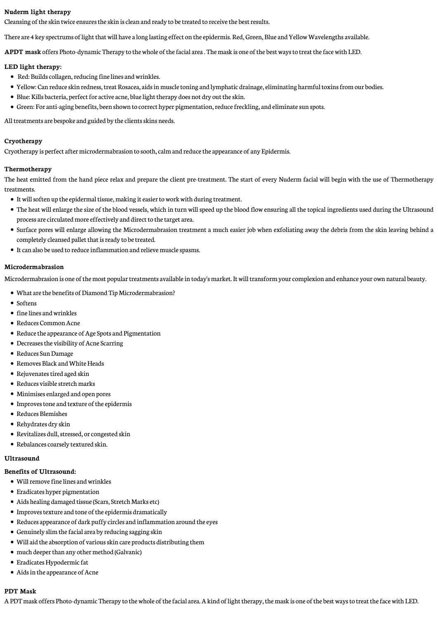#### **Nuderm light therapy**

Cleansing of the skin twice ensures the skin is clean and ready to be treated to receive the best results.

There are 4 key spectrums of light that will have a long lasting effect on the epidermis. Red, Green, Blue and Yellow Wavelengths available.

**APDT mask** offers Photo-dynamic Therapy to the whole of the facial area . The mask is one of the best ways to treat the face with LED.

#### **LED light therapy:**

- Red: Builds collagen, reducing fine lines and wrinkles.
- Yellow: Can reduce skin redness, treat Rosacea, aids in muscle toning and lymphatic drainage, eliminating harmful toxins from our bodies.
- Blue: Kills bacteria, perfect for active acne, blue light therapy does not dry out the skin.
- Green: For anti-aging benefits, been shown to correct hyper pigmentation, reduce freckling, and eliminate sun spots.

All treatments are bespoke and guided by the clients skins needs.

#### **Cryotherapy**

Cryotherapy is perfect after microdermabrasion to sooth, calm and reduce the appearance of any Epidermis.

#### **Thermotherapy**

The heat emitted from the hand piece relax and prepare the client pre-treatment. The start of every Nuderm facial will begin with the use of Thermotherapy treatments.

- It will soften up the epidermal tissue, making it easier to work with during treatment.
- The heat will enlarge the size of the blood vessels, which in turn will speed up the blood flow ensuring all the topical ingredients used during the Ultrasound process are circulated more effectively and direct to the target area.
- Surface pores will enlarge allowing the Microdermabrasion treatment a much easier job when exfoliating away the debris from the skin leaving behind a completely cleansed pallet that is ready to be treated.
- It can also be used to reduce inflammation and relieve muscle spasms.

#### **Microdermabrasion**

Microdermabrasion is one of the most popular treatments available in today's market. It will transform your complexion and enhance your own natural beauty.

- What are the benefits of Diamond Tip Microdermabrasion?
- Softens
- $\bullet\,$  fine lines and wrinkles
- Reduces Common Acne
- Reduce the appearance of Age Spots and Pigmentation
- Decreases the visibility of Acne Scarring
- Reduces Sun Damage
- Removes Black and White Heads
- Rejuvenates tired aged skin
- Reduces visible stretch marks
- Minimises enlarged and open pores
- Improves tone and texture of the epidermis
- Reduces Blemishes
- Rehydrates dry skin
- Revitalizes dull, stressed, or congested skin
- Rebalances coarsely textured skin.

#### **Ultrasound**

#### **Benefits of Ultrasound:**

- Will remove fine lines and wrinkles
- Eradicates hyper pigmentation
- Aids healing damaged tissue (Scars, Stretch Marks etc)
- Improves texture and tone of the epidermis dramatically
- Reduces appearance of dark puffy circles and inflammation around the eyes
- Genuinely slim the facial area by reducing sagging skin
- Will aid the absorption of various skin care products distributing them
- much deeper than any other method (Galvanic)
- Eradicates Hypodermic fat
- Aids in the appearance of Acne

### **PDT Mask**

A PDT mask offers Photo-dynamic Therapy to the whole of the facial area. A kind of light therapy, the mask is one of the best ways to treat the face with LED.